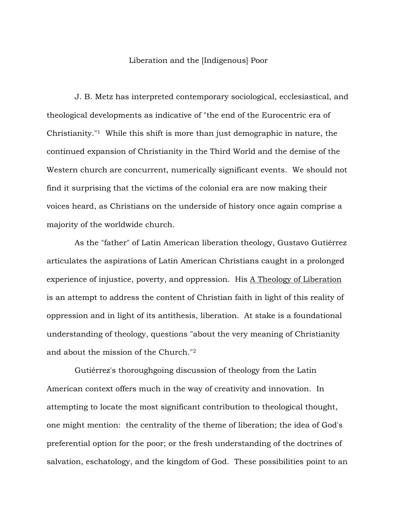## Liberation and the [Indigenous] Poor

J. B. Metz has interpreted contemporary sociological, ecclesiastical, and theological developments as indicative of "the end of the Eurocentric era of Christianity."1 While this shift is more than just demographic in nature, the continued expansion of Christianity in the Third World and the demise of the Western church are concurrent, numerically significant events. We should not find it surprising that the victims of the colonial era are now making their voices heard, as Christians on the underside of history once again comprise a majority of the worldwide church.

As the "father" of Latin American liberation theology, Gustavo Gutiérrez articulates the aspirations of Latin American Christians caught in a prolonged experience of injustice, poverty, and oppression. His A Theology of Liberation is an attempt to address the content of Christian faith in light of this reality of oppression and in light of its antithesis, liberation. At stake is a foundational understanding of theology, questions "about the very meaning of Christianity and about the mission of the Church."2

Gutiérrez's thoroughgoing discussion of theology from the Latin American context offers much in the way of creativity and innovation. In attempting to locate the most significant contribution to theological thought, one might mention: the centrality of the theme of liberation; the idea of God's preferential option for the poor; or the fresh understanding of the doctrines of salvation, eschatology, and the kingdom of God. These possibilities point to an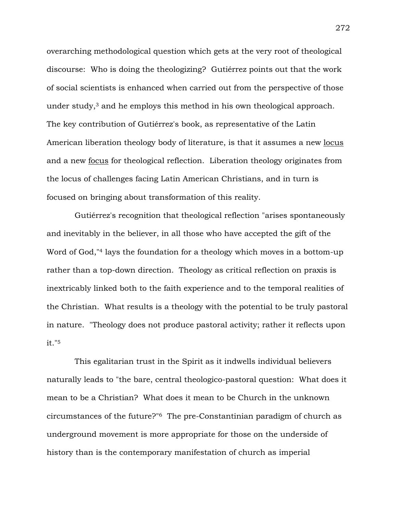overarching methodological question which gets at the very root of theological discourse: Who is doing the theologizing? Gutiérrez points out that the work of social scientists is enhanced when carried out from the perspective of those under study, $3$  and he employs this method in his own theological approach. The key contribution of Gutiérrez's book, as representative of the Latin American liberation theology body of literature, is that it assumes a new locus and a new focus for theological reflection. Liberation theology originates from the locus of challenges facing Latin American Christians, and in turn is focused on bringing about transformation of this reality.

Gutiérrez's recognition that theological reflection "arises spontaneously and inevitably in the believer, in all those who have accepted the gift of the Word of God,"<sup>4</sup> lays the foundation for a theology which moves in a bottom-up rather than a top-down direction. Theology as critical reflection on praxis is inextricably linked both to the faith experience and to the temporal realities of the Christian. What results is a theology with the potential to be truly pastoral in nature. "Theology does not produce pastoral activity; rather it reflects upon it."5

This egalitarian trust in the Spirit as it indwells individual believers naturally leads to "the bare, central theologico-pastoral question: What does it mean to be a Christian? What does it mean to be Church in the unknown circumstances of the future?"6 The pre-Constantinian paradigm of church as underground movement is more appropriate for those on the underside of history than is the contemporary manifestation of church as imperial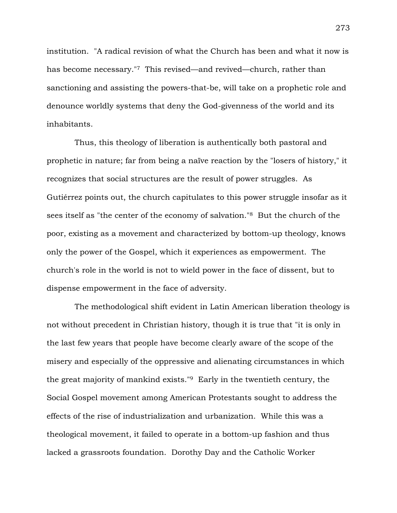institution. "A radical revision of what the Church has been and what it now is has become necessary."7 This revised—and revived—church, rather than sanctioning and assisting the powers-that-be, will take on a prophetic role and denounce worldly systems that deny the God-givenness of the world and its inhabitants.

Thus, this theology of liberation is authentically both pastoral and prophetic in nature; far from being a naïve reaction by the "losers of history," it recognizes that social structures are the result of power struggles. As Gutiérrez points out, the church capitulates to this power struggle insofar as it sees itself as "the center of the economy of salvation."8 But the church of the poor, existing as a movement and characterized by bottom-up theology, knows only the power of the Gospel, which it experiences as empowerment. The church's role in the world is not to wield power in the face of dissent, but to dispense empowerment in the face of adversity.

The methodological shift evident in Latin American liberation theology is not without precedent in Christian history, though it is true that "it is only in the last few years that people have become clearly aware of the scope of the misery and especially of the oppressive and alienating circumstances in which the great majority of mankind exists."9 Early in the twentieth century, the Social Gospel movement among American Protestants sought to address the effects of the rise of industrialization and urbanization. While this was a theological movement, it failed to operate in a bottom-up fashion and thus lacked a grassroots foundation. Dorothy Day and the Catholic Worker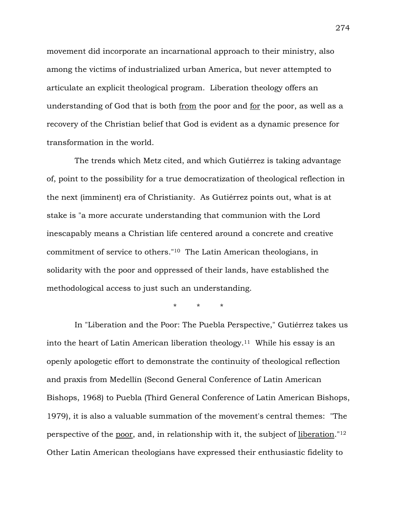movement did incorporate an incarnational approach to their ministry, also among the victims of industrialized urban America, but never attempted to articulate an explicit theological program. Liberation theology offers an understanding of God that is both from the poor and for the poor, as well as a recovery of the Christian belief that God is evident as a dynamic presence for transformation in the world.

The trends which Metz cited, and which Gutiérrez is taking advantage of, point to the possibility for a true democratization of theological reflection in the next (imminent) era of Christianity. As Gutiérrez points out, what is at stake is "a more accurate understanding that communion with the Lord inescapably means a Christian life centered around a concrete and creative commitment of service to others."10 The Latin American theologians, in solidarity with the poor and oppressed of their lands, have established the methodological access to just such an understanding.

\* \* \*

In "Liberation and the Poor: The Puebla Perspective," Gutiérrez takes us into the heart of Latin American liberation theology.<sup>11</sup> While his essay is an openly apologetic effort to demonstrate the continuity of theological reflection and praxis from Medellín (Second General Conference of Latin American Bishops, 1968) to Puebla (Third General Conference of Latin American Bishops, 1979), it is also a valuable summation of the movement's central themes: "The perspective of the poor, and, in relationship with it, the subject of liberation."12 Other Latin American theologians have expressed their enthusiastic fidelity to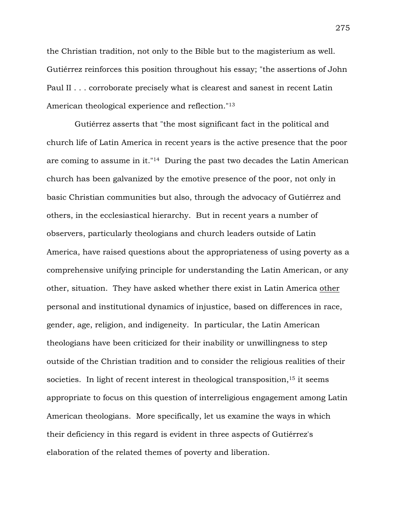the Christian tradition, not only to the Bible but to the magisterium as well. Gutiérrez reinforces this position throughout his essay; "the assertions of John Paul II . . . corroborate precisely what is clearest and sanest in recent Latin American theological experience and reflection."13

Gutiérrez asserts that "the most significant fact in the political and church life of Latin America in recent years is the active presence that the poor are coming to assume in it."14 During the past two decades the Latin American church has been galvanized by the emotive presence of the poor, not only in basic Christian communities but also, through the advocacy of Gutiérrez and others, in the ecclesiastical hierarchy. But in recent years a number of observers, particularly theologians and church leaders outside of Latin America, have raised questions about the appropriateness of using poverty as a comprehensive unifying principle for understanding the Latin American, or any other, situation. They have asked whether there exist in Latin America other personal and institutional dynamics of injustice, based on differences in race, gender, age, religion, and indigeneity. In particular, the Latin American theologians have been criticized for their inability or unwillingness to step outside of the Christian tradition and to consider the religious realities of their societies. In light of recent interest in theological transposition,  $15$  it seems appropriate to focus on this question of interreligious engagement among Latin American theologians. More specifically, let us examine the ways in which their deficiency in this regard is evident in three aspects of Gutiérrez's elaboration of the related themes of poverty and liberation.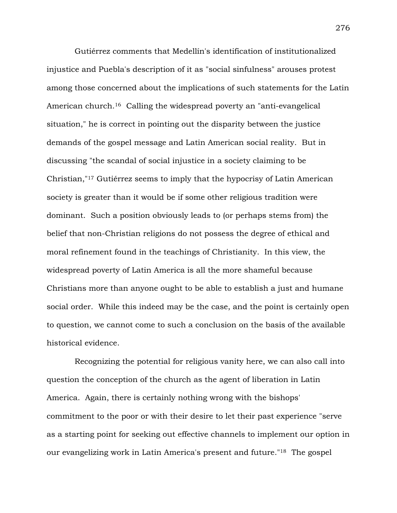Gutiérrez comments that Medellín's identification of institutionalized injustice and Puebla's description of it as "social sinfulness" arouses protest among those concerned about the implications of such statements for the Latin American church.<sup>16</sup> Calling the widespread poverty an "anti-evangelical" situation," he is correct in pointing out the disparity between the justice demands of the gospel message and Latin American social reality. But in discussing "the scandal of social injustice in a society claiming to be Christian,"17 Gutiérrez seems to imply that the hypocrisy of Latin American society is greater than it would be if some other religious tradition were dominant. Such a position obviously leads to (or perhaps stems from) the belief that non-Christian religions do not possess the degree of ethical and moral refinement found in the teachings of Christianity. In this view, the widespread poverty of Latin America is all the more shameful because Christians more than anyone ought to be able to establish a just and humane social order. While this indeed may be the case, and the point is certainly open to question, we cannot come to such a conclusion on the basis of the available historical evidence.

Recognizing the potential for religious vanity here, we can also call into question the conception of the church as the agent of liberation in Latin America. Again, there is certainly nothing wrong with the bishops' commitment to the poor or with their desire to let their past experience "serve as a starting point for seeking out effective channels to implement our option in our evangelizing work in Latin America's present and future."18 The gospel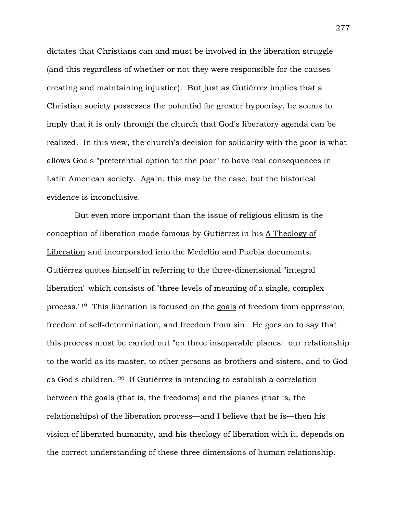dictates that Christians can and must be involved in the liberation struggle (and this regardless of whether or not they were responsible for the causes creating and maintaining injustice). But just as Gutiérrez implies that a Christian society possesses the potential for greater hypocrisy, he seems to imply that it is only through the church that God's liberatory agenda can be realized. In this view, the church's decision for solidarity with the poor is what allows God's "preferential option for the poor" to have real consequences in Latin American society. Again, this may be the case, but the historical evidence is inconclusive.

But even more important than the issue of religious elitism is the conception of liberation made famous by Gutiérrez in his A Theology of Liberation and incorporated into the Medellín and Puebla documents. Gutiérrez quotes himself in referring to the three-dimensional "integral liberation" which consists of "three levels of meaning of a single, complex process."19 This liberation is focused on the goals of freedom from oppression, freedom of self-determination, and freedom from sin. He goes on to say that this process must be carried out "on three inseparable planes: our relationship to the world as its master, to other persons as brothers and sisters, and to God as God's children."20 If Gutiérrez is intending to establish a correlation between the goals (that is, the freedoms) and the planes (that is, the relationships) of the liberation process—and I believe that he is—then his vision of liberated humanity, and his theology of liberation with it, depends on the correct understanding of these three dimensions of human relationship.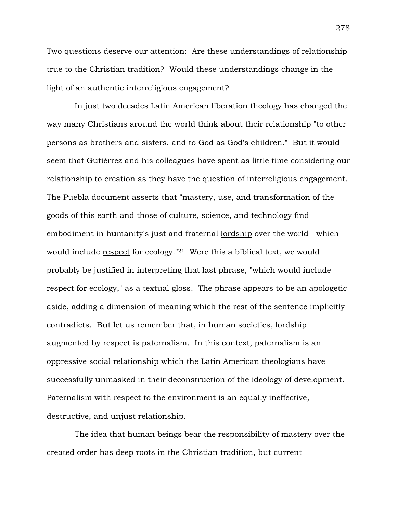Two questions deserve our attention: Are these understandings of relationship true to the Christian tradition? Would these understandings change in the light of an authentic interreligious engagement?

In just two decades Latin American liberation theology has changed the way many Christians around the world think about their relationship "to other persons as brothers and sisters, and to God as God's children." But it would seem that Gutiérrez and his colleagues have spent as little time considering our relationship to creation as they have the question of interreligious engagement. The Puebla document asserts that "mastery, use, and transformation of the goods of this earth and those of culture, science, and technology find embodiment in humanity's just and fraternal lordship over the world—which would include <u>respect</u> for ecology.<sup>"21</sup> Were this a biblical text, we would probably be justified in interpreting that last phrase, "which would include respect for ecology," as a textual gloss. The phrase appears to be an apologetic aside, adding a dimension of meaning which the rest of the sentence implicitly contradicts. But let us remember that, in human societies, lordship augmented by respect is paternalism. In this context, paternalism is an oppressive social relationship which the Latin American theologians have successfully unmasked in their deconstruction of the ideology of development. Paternalism with respect to the environment is an equally ineffective, destructive, and unjust relationship.

The idea that human beings bear the responsibility of mastery over the created order has deep roots in the Christian tradition, but current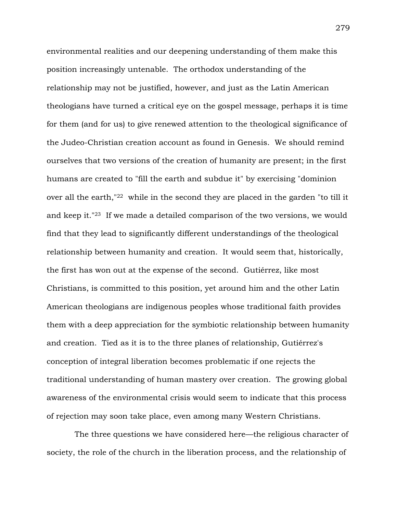environmental realities and our deepening understanding of them make this position increasingly untenable. The orthodox understanding of the relationship may not be justified, however, and just as the Latin American theologians have turned a critical eye on the gospel message, perhaps it is time for them (and for us) to give renewed attention to the theological significance of the Judeo-Christian creation account as found in Genesis. We should remind ourselves that two versions of the creation of humanity are present; in the first humans are created to "fill the earth and subdue it" by exercising "dominion over all the earth,"22 while in the second they are placed in the garden "to till it and keep it."23 If we made a detailed comparison of the two versions, we would find that they lead to significantly different understandings of the theological relationship between humanity and creation. It would seem that, historically, the first has won out at the expense of the second. Gutiérrez, like most Christians, is committed to this position, yet around him and the other Latin American theologians are indigenous peoples whose traditional faith provides them with a deep appreciation for the symbiotic relationship between humanity and creation. Tied as it is to the three planes of relationship, Gutiérrez's conception of integral liberation becomes problematic if one rejects the traditional understanding of human mastery over creation. The growing global awareness of the environmental crisis would seem to indicate that this process of rejection may soon take place, even among many Western Christians.

The three questions we have considered here—the religious character of society, the role of the church in the liberation process, and the relationship of